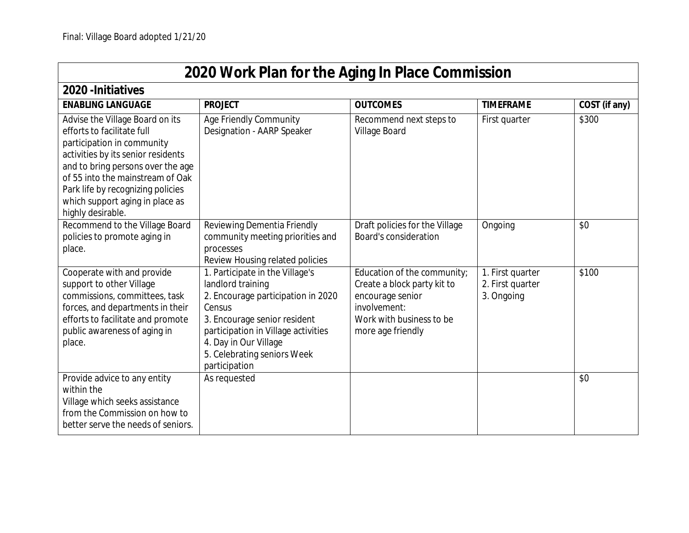| 2020 Work Plan for the Aging In Place Commission                                                                                                                                                                                                                                                        |                                                                                                                                                                                                                                                      |                                                                                                                                                 |                                                    |               |  |
|---------------------------------------------------------------------------------------------------------------------------------------------------------------------------------------------------------------------------------------------------------------------------------------------------------|------------------------------------------------------------------------------------------------------------------------------------------------------------------------------------------------------------------------------------------------------|-------------------------------------------------------------------------------------------------------------------------------------------------|----------------------------------------------------|---------------|--|
| 2020 - Initiatives                                                                                                                                                                                                                                                                                      |                                                                                                                                                                                                                                                      |                                                                                                                                                 |                                                    |               |  |
| <b>ENABLING LANGUAGE</b>                                                                                                                                                                                                                                                                                | <b>PROJECT</b>                                                                                                                                                                                                                                       | <b>OUTCOMES</b>                                                                                                                                 | <b>TIMEFRAME</b>                                   | COST (if any) |  |
| Advise the Village Board on its<br>efforts to facilitate full<br>participation in community<br>activities by its senior residents<br>and to bring persons over the age<br>of 55 into the mainstream of Oak<br>Park life by recognizing policies<br>which support aging in place as<br>highly desirable. | Age Friendly Community<br>Designation - AARP Speaker                                                                                                                                                                                                 | Recommend next steps to<br>Village Board                                                                                                        | First quarter                                      | \$300         |  |
| Recommend to the Village Board<br>policies to promote aging in<br>place.                                                                                                                                                                                                                                | Reviewing Dementia Friendly<br>community meeting priorities and<br>processes<br>Review Housing related policies                                                                                                                                      | Draft policies for the Village<br><b>Board's consideration</b>                                                                                  | Ongoing                                            | \$0           |  |
| Cooperate with and provide<br>support to other Village<br>commissions, committees, task<br>forces, and departments in their<br>efforts to facilitate and promote<br>public awareness of aging in<br>place.                                                                                              | 1. Participate in the Village's<br>landlord training<br>2. Encourage participation in 2020<br>Census<br>3. Encourage senior resident<br>participation in Village activities<br>4. Day in Our Village<br>5. Celebrating seniors Week<br>participation | Education of the community;<br>Create a block party kit to<br>encourage senior<br>involvement:<br>Work with business to be<br>more age friendly | 1. First quarter<br>2. First quarter<br>3. Ongoing | \$100         |  |
| Provide advice to any entity<br>within the<br>Village which seeks assistance<br>from the Commission on how to<br>better serve the needs of seniors.                                                                                                                                                     | As requested                                                                                                                                                                                                                                         |                                                                                                                                                 |                                                    | \$0           |  |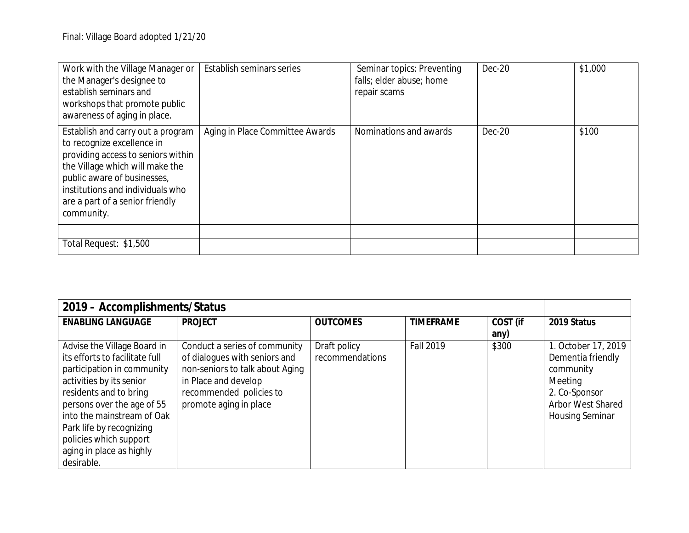| Work with the Village Manager or<br>the Manager's designee to<br>establish seminars and<br>workshops that promote public<br>awareness of aging in place.                                                                                                     | Establish seminars series       | Seminar topics: Preventing<br>falls; elder abuse; home<br>repair scams | Dec-20 | \$1,000 |
|--------------------------------------------------------------------------------------------------------------------------------------------------------------------------------------------------------------------------------------------------------------|---------------------------------|------------------------------------------------------------------------|--------|---------|
| Establish and carry out a program<br>to recognize excellence in<br>providing access to seniors within<br>the Village which will make the<br>public aware of businesses,<br>institutions and individuals who<br>are a part of a senior friendly<br>community. | Aging in Place Committee Awards | Nominations and awards                                                 | Dec-20 | \$100   |
| Total Request: \$1,500                                                                                                                                                                                                                                       |                                 |                                                                        |        |         |

| 2019 - Accomplishments/Status  |                                 |                 |                  |          |                          |
|--------------------------------|---------------------------------|-----------------|------------------|----------|--------------------------|
| <b>ENABLING LANGUAGE</b>       | <b>PROJECT</b>                  | <b>OUTCOMES</b> | <b>TIMEFRAME</b> | COST (if | 2019 Status              |
|                                |                                 |                 |                  | any)     |                          |
| Advise the Village Board in    | Conduct a series of community   | Draft policy    | <b>Fall 2019</b> | \$300    | 1. October 17, 2019      |
| its efforts to facilitate full | of dialogues with seniors and   | recommendations |                  |          | Dementia friendly        |
| participation in community     | non-seniors to talk about Aging |                 |                  |          | community                |
| activities by its senior       | in Place and develop            |                 |                  |          | Meeting                  |
| residents and to bring         | recommended policies to         |                 |                  |          | 2. Co-Sponsor            |
| persons over the age of 55     | promote aging in place          |                 |                  |          | <b>Arbor West Shared</b> |
| into the mainstream of Oak     |                                 |                 |                  |          | <b>Housing Seminar</b>   |
| Park life by recognizing       |                                 |                 |                  |          |                          |
| policies which support         |                                 |                 |                  |          |                          |
| aging in place as highly       |                                 |                 |                  |          |                          |
| desirable.                     |                                 |                 |                  |          |                          |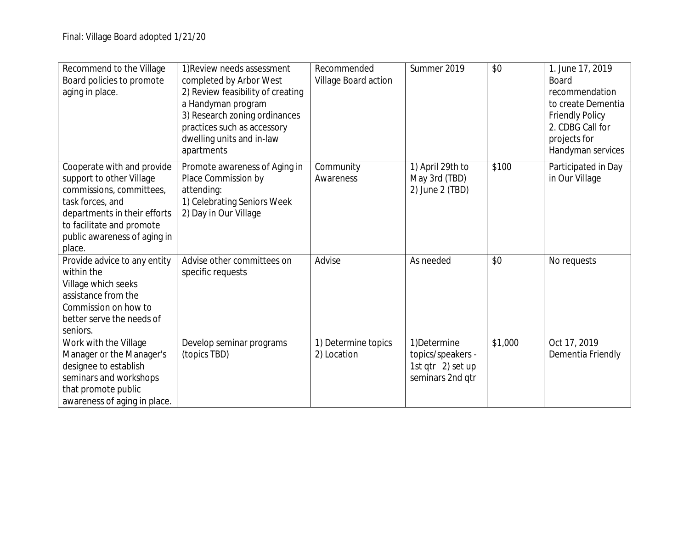| Recommend to the Village<br>Board policies to promote<br>aging in place.                                                                                                                                      | 1) Review needs assessment<br>completed by Arbor West<br>2) Review feasibility of creating<br>a Handyman program<br>3) Research zoning ordinances<br>practices such as accessory<br>dwelling units and in-law<br>apartments | Recommended<br>Village Board action | Summer 2019                                                                | \$0     | 1. June 17, 2019<br><b>Board</b><br>recommendation<br>to create Dementia<br><b>Friendly Policy</b><br>2. CDBG Call for<br>projects for<br>Handyman services |
|---------------------------------------------------------------------------------------------------------------------------------------------------------------------------------------------------------------|-----------------------------------------------------------------------------------------------------------------------------------------------------------------------------------------------------------------------------|-------------------------------------|----------------------------------------------------------------------------|---------|-------------------------------------------------------------------------------------------------------------------------------------------------------------|
| Cooperate with and provide<br>support to other Village<br>commissions, committees,<br>task forces, and<br>departments in their efforts<br>to facilitate and promote<br>public awareness of aging in<br>place. | Promote awareness of Aging in<br>Place Commission by<br>attending:<br>1) Celebrating Seniors Week<br>2) Day in Our Village                                                                                                  | Community<br>Awareness              | 1) April 29th to<br>May 3rd (TBD)<br>$2)$ June $2$ (TBD)                   | \$100   | Participated in Day<br>in Our Village                                                                                                                       |
| Provide advice to any entity<br>within the<br>Village which seeks<br>assistance from the<br>Commission on how to<br>better serve the needs of<br>seniors.                                                     | Advise other committees on<br>specific requests                                                                                                                                                                             | Advise                              | As needed                                                                  | \$0     | No requests                                                                                                                                                 |
| Work with the Village<br>Manager or the Manager's<br>designee to establish<br>seminars and workshops<br>that promote public<br>awareness of aging in place.                                                   | Develop seminar programs<br>(topics TBD)                                                                                                                                                                                    | 1) Determine topics<br>2) Location  | 1) Determine<br>topics/speakers -<br>1st qtr 2) set up<br>seminars 2nd qtr | \$1,000 | Oct 17, 2019<br>Dementia Friendly                                                                                                                           |